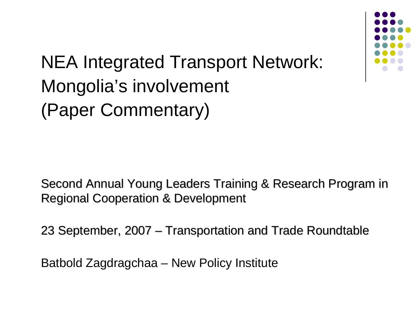

NEA Integrated Transport Network: Mongolia's involvement(Paper Commentary)

Second Annual Young Leaders Training & Research Program in Regional Cooperation & Development

23 September, 2007  $-$  Transportation and Trade Roundtable

Batbold Zagdragchaa – New Policy Institute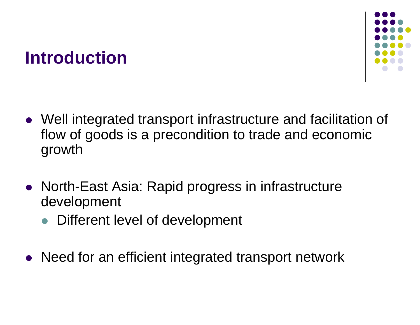## **Introduction**



- Well integrated transport infrastructure and facilitation of flow of goods is a precondition to trade and economic growth
- North-East Asia: Rapid progress in infrastructure development
	- $\bullet$ Different level of development
- $\bullet$ Need for an efficient integrated transport network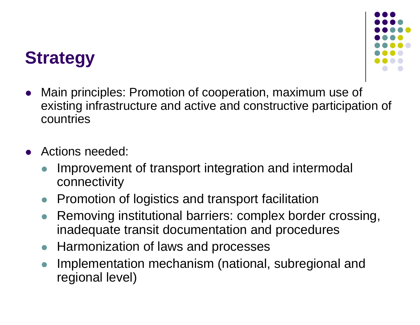## **Strategy**



- $\bullet$  Main principles: Promotion of cooperation, maximum use of existing infrastructure and active and constructive participation of countries
- $\bullet$  Actions needed:
	- $\bullet$  Improvement of transport integration and intermodal connectivity
	- Promotion of logistics and transport facilitation
	- **Removing institutional barriers: complex border crossing,**  $\bullet$ inadequate transit documentation and procedures
	- $\bullet$ Harmonization of laws and processes
	- $\bullet$  Implementation mechanism (national, subregional and regional level)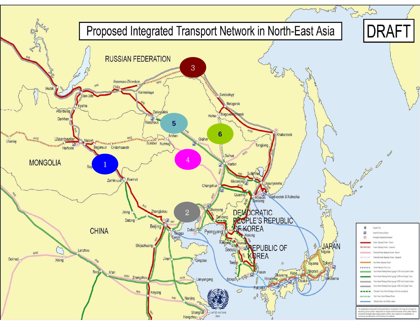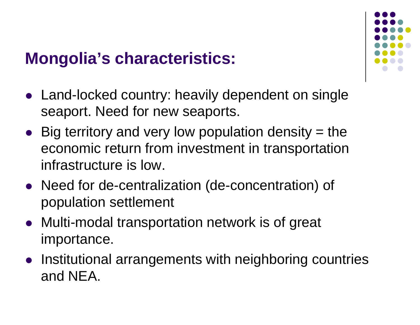## **Mongolia's characteristics:**



- $\bullet$  Big territory and very low population density = the economic return from investment in transportation infrastructure is low.
- Need for de-centralization (de-concentration) of population settlement
- Multi-modal transportation network is of great importance.
- Institutional arrangements with neighboring countries and NEA.

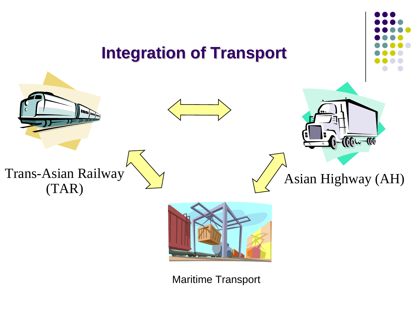

Maritime Transport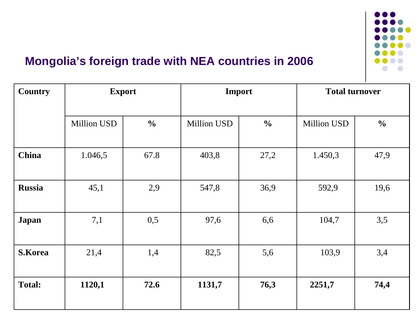

### **Mongolia's foreign trade with NEA countries in 2006**

| <b>Country</b> | <b>Export</b> |               | Import      |                | <b>Total turnover</b> |               |
|----------------|---------------|---------------|-------------|----------------|-----------------------|---------------|
|                | Million USD   | $\frac{6}{6}$ | Million USD | $\frac{6}{10}$ | Million USD           | $\frac{0}{0}$ |
| <b>China</b>   | 1.046,5       | 67.8          | 403,8       | 27,2           | 1.450,3               | 47,9          |
| <b>Russia</b>  | 45,1          | 2,9           | 547,8       | 36,9           | 592,9                 | 19,6          |
| <b>Japan</b>   | 7,1           | 0,5           | 97,6        | 6,6            | 104,7                 | 3,5           |
| <b>S.Korea</b> | 21,4          | 1,4           | 82,5        | 5,6            | 103,9                 | 3,4           |
| <b>Total:</b>  | 1120,1        | 72.6          | 1131,7      | 76,3           | 2251,7                | 74,4          |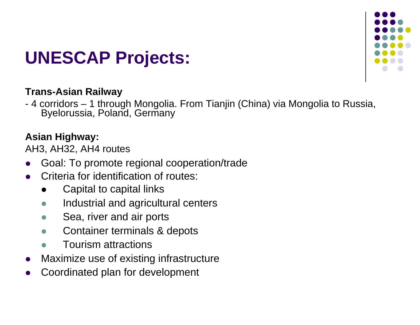# **UNESCAP Projects:**

#### **Trans-Asian Railway**

- 4 corridors – 1 through Mongolia. From Tianjin (China) via Mongolia to Russia, Byelorussia, Poland, Germany

#### **Asian Highway:**

AH3, AH32, AH4 routes

- $\bullet$ Goal: To promote regional cooperation/trade
- $\bullet$  Criteria for identification of routes:
	- $\bullet$ Capital to capital links
	- $\bullet$ Industrial and agricultural centers
	- $\bullet$ Sea, river and air ports
	- $\bullet$ Container terminals & depots
	- $\bullet$ Tourism attractions
- $\bullet$ Maximize use of existing infrastructure
- $\bullet$ Coordinated plan for development

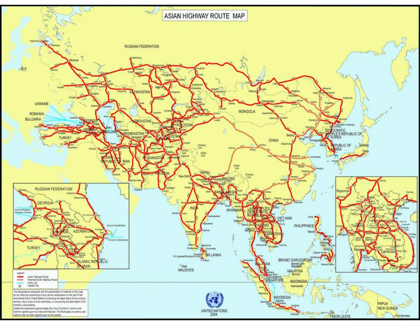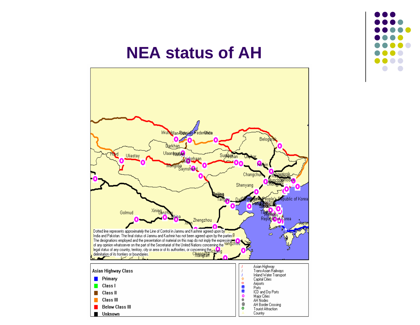## **NEA status of AH**



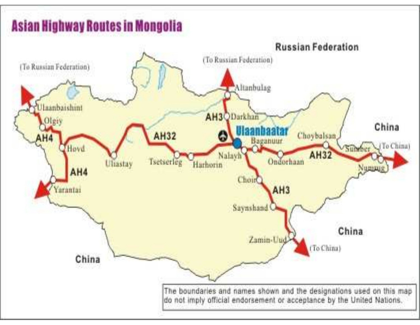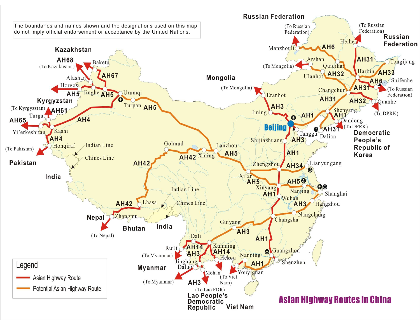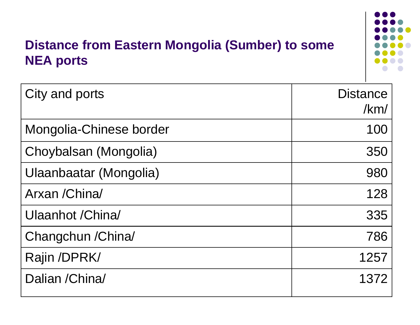

### **Distance from Eastern Mongolia (Sumber) to some NEA ports**

| City and ports          | <b>Distance</b><br>/km/ |
|-------------------------|-------------------------|
| Mongolia-Chinese border | 100                     |
| Choybalsan (Mongolia)   | 350                     |
| Ulaanbaatar (Mongolia)  | 980                     |
| Arxan / China/          | 128                     |
| Ulaanhot / China        | 335                     |
| Changchun / China/      | 786                     |
| Rajin /DPRK/            | 1257                    |
| Dalian / China          | 1372                    |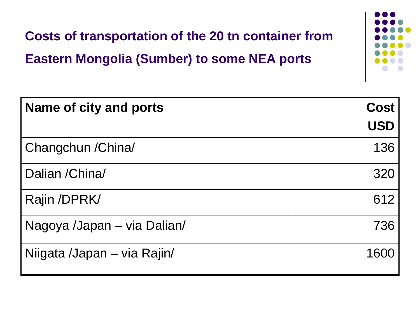

| Name of city and ports      | <b>Cost</b> |
|-----------------------------|-------------|
|                             | <b>USD</b>  |
| Changchun / China           | 136         |
| Dalian / China              | 320         |
| Rajin /DPRK/                | 612         |
| Nagoya /Japan – via Dalian/ | 736         |
| Niigata /Japan – via Rajin/ | 1600        |